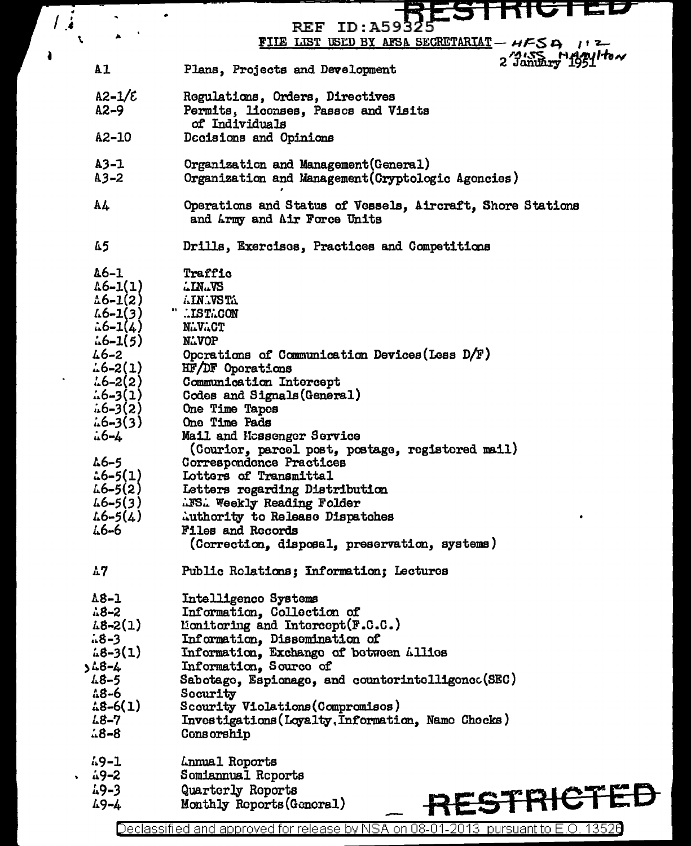|         |                      | <b>KIGTED</b>                                              |
|---------|----------------------|------------------------------------------------------------|
| $\cdot$ |                      | <b>REF ID:A59325</b>                                       |
| ۹.      |                      | FILE LIST USED BY AFSA SECRETARIAT - HFSA 112              |
|         |                      | 2 January 1951 How                                         |
|         | A1                   | Plans, Projects and Development                            |
|         |                      |                                                            |
|         | $A2 - 1/\epsilon$    | Regulations, Orders, Directives                            |
|         | $A2-9$               | Permits, licenses, Passes and Visits                       |
|         |                      | of Individuals                                             |
|         | A2-10                | Docisions and Opinions                                     |
|         | $A3 - 1$             | Organization and Management (General)                      |
|         | $A3 - 2$             | Organization and Management (Cryptologic Agoncies)         |
|         |                      |                                                            |
|         | A4                   | Operations and Status of Vessels, Aircraft, Shore Stations |
|         |                      | and Army and Air Force Units                               |
|         |                      |                                                            |
|         | 45                   | Drills, Exercises, Practices and Competitions              |
|         |                      |                                                            |
|         | $46 - 1$             | Traffic                                                    |
|         | $\text{\&6-1}(1)$    | <b>LINLVS</b>                                              |
|         | $\triangle 6 - 1(2)$ | AIN.VSTA                                                   |
|         | $46 - 1(3)$          | " ISTLCON                                                  |
|         | $\therefore$ 6–1(4)  | <b>NLVLCT</b>                                              |
|         | $46 - 1(5)$          | N. VOP                                                     |
|         | $16 - 2$             | Operations of Communication Devices (Less D/F)             |
|         | $46 - 2(1)$          | HF/DF Oporations                                           |
|         |                      |                                                            |
|         | $4.6 - 2(2)$         | Communication Intercept                                    |
|         | $46 - 3(1)$          | Codes and Signals (General)                                |
|         | $46 - 3(2)$          | One Time Tapos                                             |
|         | $46 - 3(3)$          | One Time Pads                                              |
|         | $-6 - 4$             | Mail and Hossenger Service                                 |
|         |                      | (Courier, parcel post, postage, registered mail)           |
|         | $46 - 5$             | Correspondence Practices                                   |
|         | $\frac{16-5(1)}{2}$  | Lotters of Transmittal                                     |
|         | $46 - 5(2)$          | Letters regarding Distribution                             |
|         | $46 - 5(3)$          | <b>AFS. Weekly Reading Folder</b>                          |
|         | $4.6 - 5(4)$         | Authority to Release Dispatches                            |
|         | 46-6                 | <b>Files and Records</b>                                   |
|         |                      | (Correction, disposal, preservation, systems)              |
|         |                      |                                                            |
|         | $\Delta$ 7           | Public Rolations; Information; Lectures                    |
|         | $18-1$               |                                                            |
|         | $18 - 2$             | Intelligenco Systems                                       |
|         |                      | Information, Collection of                                 |
|         | $48 - 2(1)$          | Monitoring and Intercept(F.C.C.)                           |
|         | $48 - 3$             | Information, Dissomination of                              |
|         | $48 - 3(1)$          | Information, Exchange of between Allies                    |
|         | 4-8،د                | Information, Source of                                     |
|         | $48 - 5$             | Sabotage, Espionage, and counterintelligence(SEC)          |
|         | 48-6                 | Security                                                   |
|         | $\frac{18-6(1)}{2}$  | Scourity Violations (Compromisos)                          |
|         | 48-7                 | Investigations (Loyalty, Information, Name Checks)         |
|         | $48 - 8$             | Consorship                                                 |
|         | $49 - 1$             | Lunual Roports                                             |
|         | 2–19                 | Somiannual Reports                                         |
|         | $19 - 3$             | Quarterly Reports                                          |
|         | 49-4                 | RESTRICTED<br>Monthly Reports (General)                    |
|         |                      |                                                            |

 $\overline{\phantom{a}}$ 

 $\ddot{\phantom{1}}$ 

Declassified and approved for release by NSA on 08-01-2013 pursuant to E.O. 13526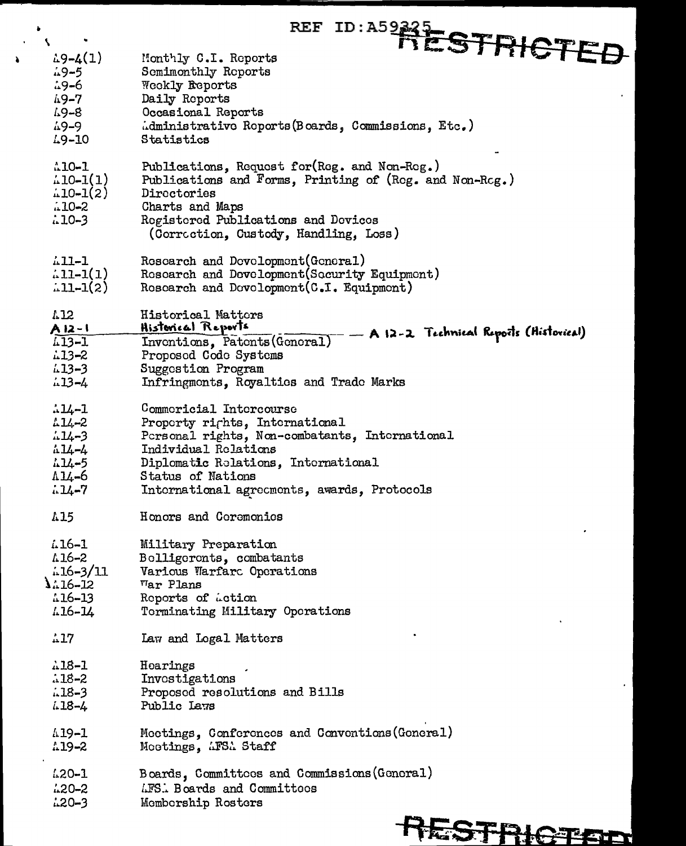|                                                               | <b>REF</b>                                                                                                                                                                                                                 |
|---------------------------------------------------------------|----------------------------------------------------------------------------------------------------------------------------------------------------------------------------------------------------------------------------|
| N.                                                            | ID: A59342 STRICTEE                                                                                                                                                                                                        |
| $\frac{1}{2}9 - 4(1)$                                         | Monthly C.I. Reports                                                                                                                                                                                                       |
| $.9 - 5$                                                      | Semimonthly Reports                                                                                                                                                                                                        |
| 49-6                                                          | Weekly Reports                                                                                                                                                                                                             |
| 49-7                                                          | Daily Reports                                                                                                                                                                                                              |
| 49-8                                                          | Occasional Reports                                                                                                                                                                                                         |
| 49-9                                                          | Administrative Reports (Boards, Commissions, Etc.)                                                                                                                                                                         |
| $L9 - 10$                                                     | Statistics                                                                                                                                                                                                                 |
| $10 - 1$<br>$10-1(1)$<br>$\text{10-1}(2)$<br>$-10-2$<br>110-3 | Publications, Request for (Reg. and Non-Reg.)<br>Publications and Forms, Printing of (Reg. and Non-Reg.)<br>Directories<br>Charts and Maps<br>Registered Publications and Devices<br>(Correction, Custody, Handling, Loss) |
| 411-1                                                         | Research and Development (General)                                                                                                                                                                                         |
| $\frac{1}{4}$ 11-1(1)                                         | Roscarch and Development(Socurity Equipment)                                                                                                                                                                               |
| $.11 - 1(2)$                                                  | Research and Development (C.I. Equipment)                                                                                                                                                                                  |
| 1.12<br>A 12-1                                                | Historical Matters<br>Historical Reports<br>- A 12-2 Technical Reports (Historical)                                                                                                                                        |
| $1 - 1$                                                       | Inventions, Patents (General)                                                                                                                                                                                              |
| $13 - 2$                                                      | Proposed Code Systems                                                                                                                                                                                                      |
| $13 - 3$                                                      | Suggestion Program                                                                                                                                                                                                         |
| $13 - 4$                                                      | Infringmonts, Royaltics and Trade Marks                                                                                                                                                                                    |
| $.14 - 1$                                                     | Commoricial Intorcourse                                                                                                                                                                                                    |
| $11 - 2$                                                      | Property rights, International                                                                                                                                                                                             |
| $114 - 3$                                                     | Personal rights, Non-combatants, International                                                                                                                                                                             |
| $11 - 4$                                                      | Individual Relations                                                                                                                                                                                                       |
| $11 - 5$                                                      | Diplomatic Relations, International                                                                                                                                                                                        |
| A14-6                                                         | Status of Nations                                                                                                                                                                                                          |
| $11 - 7$                                                      | International agreements, awards, Protocols                                                                                                                                                                                |
| 415                                                           | Honors and Coremonics                                                                                                                                                                                                      |
| $1.16 - 1$                                                    | Military Preparation                                                                                                                                                                                                       |
| 7-911                                                         | Belligerents, combatants                                                                                                                                                                                                   |
| $1.16 - 3/11$                                                 | Various Warfarc Operations                                                                                                                                                                                                 |
| $1.16 - 12$                                                   | War Plans                                                                                                                                                                                                                  |
| $116 - 13$                                                    | Reports of Action                                                                                                                                                                                                          |
| 416-14                                                        | Terminating Military Operations                                                                                                                                                                                            |
| .17                                                           | Law and Logal Matters                                                                                                                                                                                                      |
| 118-1                                                         | Hearings                                                                                                                                                                                                                   |
| $.18 - 2$                                                     | Invostigations                                                                                                                                                                                                             |
| $18 - 3$                                                      | Proposed resolutions and Bills                                                                                                                                                                                             |
| $18 - 4$                                                      | Public Laws                                                                                                                                                                                                                |
| 419-1                                                         | Moetings, Conferences and Conventions (General)                                                                                                                                                                            |
| $19 - 2$                                                      | Mootings, AFSA Staff                                                                                                                                                                                                       |
| $120 - 1$                                                     | Boards, Committees and Commissions (General)                                                                                                                                                                               |
| $120 - 2$                                                     | LFS. Boards and Committees                                                                                                                                                                                                 |
| $120 - 3$                                                     | Momborship Rosters                                                                                                                                                                                                         |

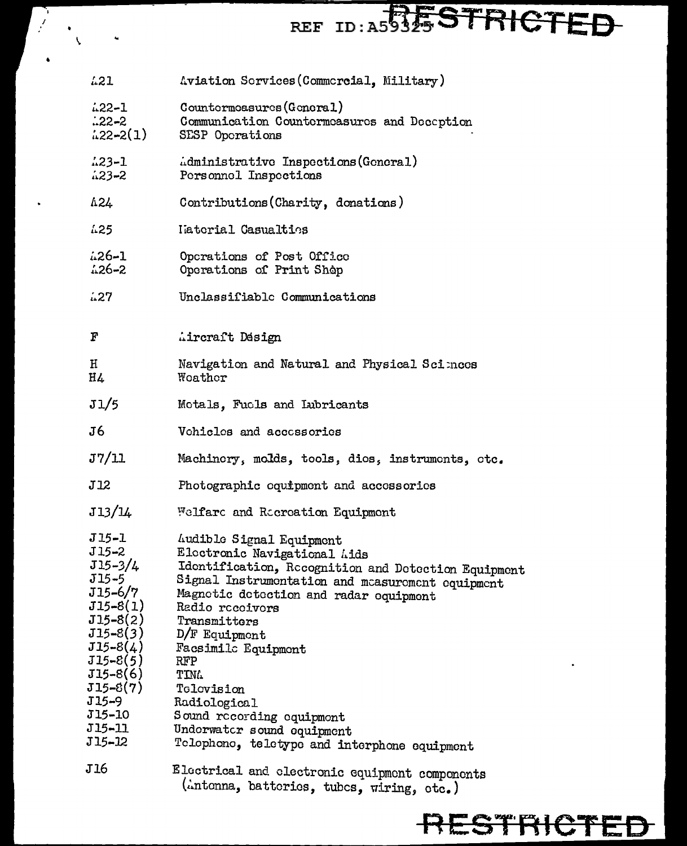## REF TD: A59345 STRICTFD

- $1.21$ Aviation Services (Commercial, Military)
- $1.22 1$ Countermoasures (General)
- Communication Countermeasures and Deception  $.22 - 2$
- $(122-2(1))$ SESP Operations
- $123 1$ Administrative Inspections (General)  $423 - 2$ Personnel Inspections
- $\triangle$ <sub>24</sub> Contributions (Charity, donations)
- $1.25$ Laterial Casualties
- $1.26 1$ Operations of Post Office  $126 - 2$ Operations of Print Shop
- $127$ Unclassifiable Communications
- $\boldsymbol{F}$ Aircraft Design
- Н Navigation and Natural and Physical Sciences **H**<sup>L</sup> Woather
- $J1/5$ Motals, Fucls and Lubricants
- $J6$ Vehicles and accessories
- $J7/11$ Machinery, molds, tools, dies, instruments, etc.
- $J12$ Photographic equipment and accessories
- J13/14 Welfard and Ricroation Equipment
- $J15 1$ Audible Signal Equipment
- $J15 2$ Electronic Navigational Aids
- $J15 3/4$ Identification, Recognition and Detection Equipment
- Signal Instrumentation and measurement equipment  $J15 - 5$
- J15-6/7 Magnetic detection and radar equipment
- $J15-8(1)$ Radio recoivors
- $J15-8(2)$ Transmitters
- $J15 8(3)$ D/F Equipment
- Facsimile Equipment  $J15-8(4)$
- $J15 8(5)$ **RFP**
- $J15-8(6)$ **TIMA**
- $J15-8(7)$ Tolovision
- $J15 9$ Radiological
- **J15-10** Sound recording equipment
- $J15 11$ Undorwatcr sound equipment
- Telephone, teletype and interphone equipment J15-12
- Electrical and electronic equipment components J16 (intenna, batteries, tubes, wiring, etc.)

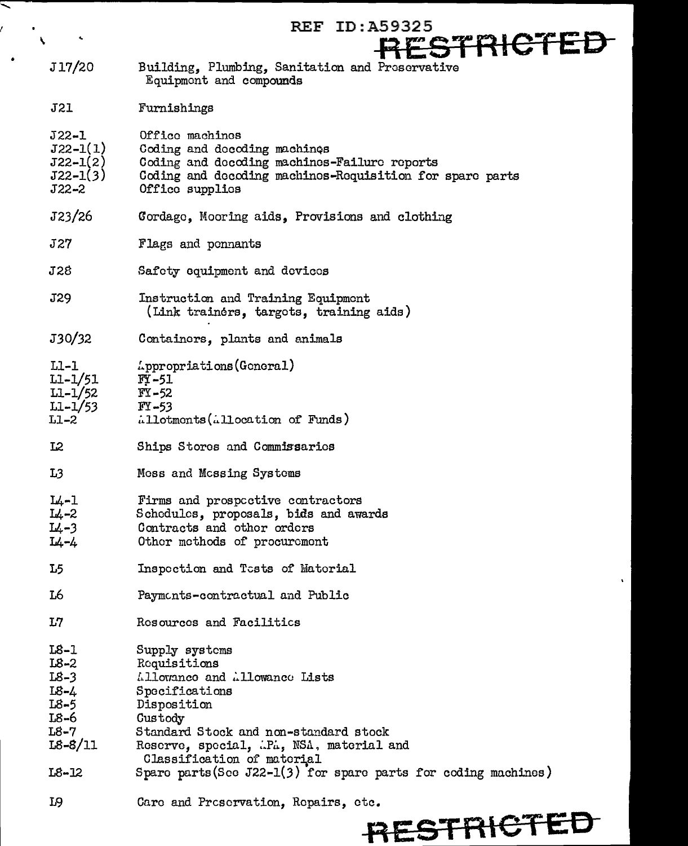|                                                                        | ID:A59325<br>REF                                                                                                                                                               |
|------------------------------------------------------------------------|--------------------------------------------------------------------------------------------------------------------------------------------------------------------------------|
|                                                                        | RESTRICTED                                                                                                                                                                     |
|                                                                        |                                                                                                                                                                                |
| J17/20                                                                 | Building, Plumbing, Sanitation and Preservative<br>Equipment and compounds                                                                                                     |
| <b>J21</b>                                                             | Furnishings                                                                                                                                                                    |
| $J22 - 1$<br>$J22 - 1(1)$<br>$J22 - 1(2)$<br>$J22 - 1(3)$<br>$J22 - 2$ | Office machines<br>Coding and docoding machines<br>Coding and decoding machines-Failure reports<br>Coding and decoding machines-Requisition for spare parts<br>Offico supplies |
| J23/26                                                                 | Cordage, Mooring aids, Provisions and clothing                                                                                                                                 |
| <b>J27</b>                                                             | Flags and ponnants                                                                                                                                                             |
| J28                                                                    | Safety equipment and devices                                                                                                                                                   |
| J29                                                                    | Instruction and Training Equipment<br>(Link trainers, targets, training aids)                                                                                                  |
| J30/32                                                                 | Containers, plants and animals                                                                                                                                                 |
| $LI-1$<br>$L1 - 1/51$<br>$L1 - 1/52$<br>$LI - 1/53$<br>$L1-2$          | Appropriations (General)<br>$FY - 51$<br>$FY - 52$<br>$FY - 53$<br>Allotmonts (Allocation of Funds)                                                                            |
| L2                                                                     | Ships Stores and Commissaries                                                                                                                                                  |
| L <sub>3</sub>                                                         | Moss and Mossing Systems                                                                                                                                                       |
| $L_1 - 1$<br>$I_{4-2}$<br>$L_4 - 3$<br>L4-4                            | Firms and prospective contractors<br>Schedules, proposals, bids and awards<br>Contracts and other orders<br>Other methods of procurement                                       |
| L5                                                                     | Inspection and Tests of Material                                                                                                                                               |
| L6                                                                     | Payments-contractual and Public                                                                                                                                                |
| L7                                                                     | Resources and Facilitics                                                                                                                                                       |
| $L8-1$<br>$L8-2$<br>$L8-3$<br>I8-4<br>L8-5<br>L8-6<br>$L8-7$           | Supply systems<br>Requisitions<br>Allowance and Allowance Lists<br>Specifications<br>Disposition<br>Custody<br>Standard Stock and non-standard stock                           |
| $L8 - 8/11$                                                            | Reserve, special, P., NSA, material and<br>Classification of material                                                                                                          |
| $L8 - 12$                                                              | Spare parts (See J22-1(3) for spare parts for coding machines)                                                                                                                 |
| L9                                                                     | Care and Preservation, Repairs, etc.                                                                                                                                           |

 $\overline{\phantom{a}}$ 



 $\sim$   $\sim$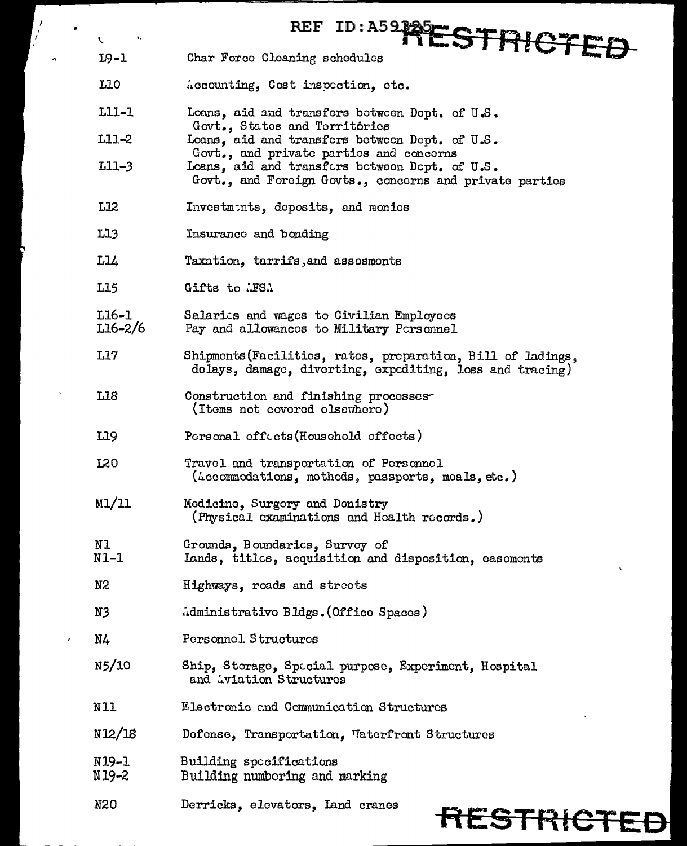|    | ۱,<br>V          | ID: A59125ESTRICTED<br><b>REF</b>                                                                                          |
|----|------------------|----------------------------------------------------------------------------------------------------------------------------|
|    | 19-1             | Char Forco Cleaning schedules                                                                                              |
|    | L10              | Accounting, Cost inspection, etc.                                                                                          |
|    | L11-1            | Loans, aid and transfers between Dopt. of U.S.                                                                             |
|    | L11-2            | Govt., States and Territories<br>Loans, aid and transfers between Dept. of U.S.<br>Govt., and private parties and concerns |
|    | $L11-3$          | Loans, aid and transfors between Dept. of U.S.<br>Govt., and Forcign Govts., concerns and private parties                  |
|    | L12              | Investmints, deposits, and monics                                                                                          |
|    | L13              | Insurance and bonding                                                                                                      |
|    | L14              | Taxation, tarrifs, and assesments                                                                                          |
|    | L15              | Gifts to LFSA                                                                                                              |
|    | L16-1<br>L16-2/6 | Salarics and wages to Civilian Employees<br>Pay and allowances to Military Personnel                                       |
|    | L17              | Shipments (Facilities, rates, preparation, Bill of ladings,<br>delays, damage, diverting, expediting, loss and tracing)    |
|    | <b>L18</b>       | Construction and finishing processes<br>(Items not covered elsewhere)                                                      |
|    | L19              | Porsonal cffects (Household cffects)                                                                                       |
|    | <b>L20</b>       | Travel and transportation of Personnel<br>(Accommodations, mothods, passports, moals, etc.)                                |
|    | M1/11            | Modicine, Surgery and Donistry<br>(Physical examinations and Health records.)                                              |
|    | N1<br>$N1-1$     | Grounds, Boundarics, Survoy of<br>Lands, titles, acquisition and disposition, easoments                                    |
|    | N <sub>2</sub>   | Highways, roads and streets                                                                                                |
|    | N3               | Administrative Bldgs. (Office Spaces)                                                                                      |
| ŧ. | N4               | Personnel Structures                                                                                                       |
|    | N5/10            | Ship, Storage, Spocial purpose, Experiment, Hospital<br>and Aviation Structures                                            |
|    | N11              | Electronic and Communication Structures                                                                                    |
|    | N12/18           | Defense, Transportation, Waterfront Structures                                                                             |
|    | N19-1<br>N19-2   | Building specifications<br>Building numbering and marking                                                                  |
|    | N20              | Derricks, elevators, Land cranes<br>RESTRICTE                                                                              |

 $\int\limits_{\mathcal{L}}$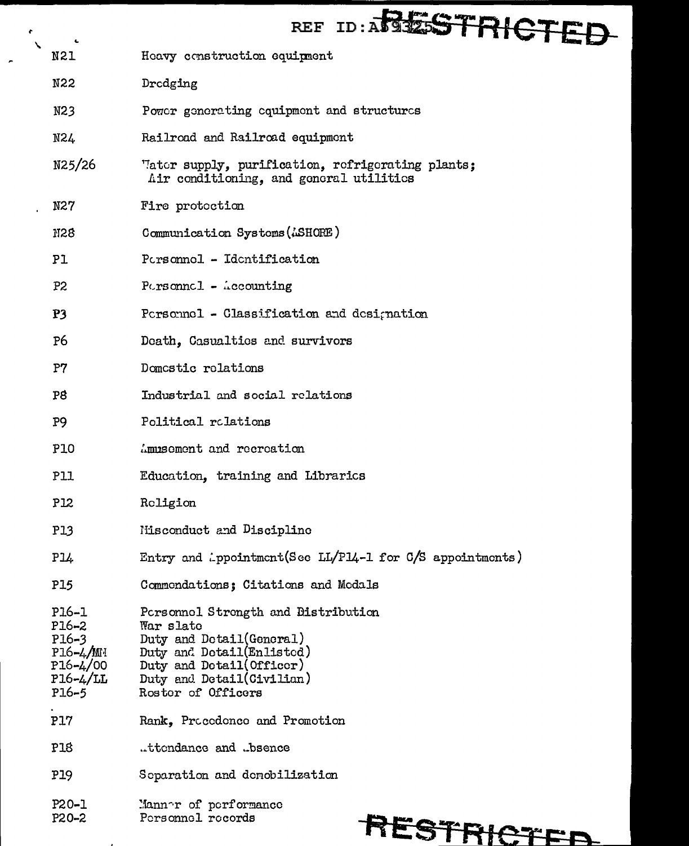| ۰.                                                                                       | ID: ABLESTRICTE<br><b>REF</b>                                                                                                                                                             |
|------------------------------------------------------------------------------------------|-------------------------------------------------------------------------------------------------------------------------------------------------------------------------------------------|
| N21                                                                                      | Heavy construction equipment                                                                                                                                                              |
| N22                                                                                      | Drodging                                                                                                                                                                                  |
| N23                                                                                      | Power generating equipment and structures                                                                                                                                                 |
| N24                                                                                      | Railroad and Railroad equipment                                                                                                                                                           |
| N25/26                                                                                   | "later supply, purification, refrigerating plants;<br>Air conditioning, and general utilities                                                                                             |
| N27                                                                                      | Fire protection                                                                                                                                                                           |
| N28                                                                                      | Communication Systems (ASHORE)                                                                                                                                                            |
| Pl                                                                                       | Porsonnel - Identification                                                                                                                                                                |
| P2                                                                                       | $Pcrsonnc1 - \triangle cocounting$                                                                                                                                                        |
| P <sub>3</sub>                                                                           | Personnel - Classification and designation                                                                                                                                                |
| P6                                                                                       | Death, Casualties and survivors                                                                                                                                                           |
| P7                                                                                       | Domestic rolations                                                                                                                                                                        |
| P8                                                                                       | Industrial and social relations                                                                                                                                                           |
| P <sub>9</sub>                                                                           | Political relations                                                                                                                                                                       |
| <b>P10</b>                                                                               | Ammiscment and recreation                                                                                                                                                                 |
| <b>P11</b>                                                                               | Education, training and Librarics                                                                                                                                                         |
| P12                                                                                      | Religion                                                                                                                                                                                  |
| <b>P13</b>                                                                               | Nisconduct and Discipline                                                                                                                                                                 |
| P14                                                                                      | Entry and ippointment(See LL/P14-1 for $C/S$ appointments)                                                                                                                                |
| <b>P15</b>                                                                               | Commondations; Citations and Medals                                                                                                                                                       |
| P16-1<br>$P16 - 2$<br>$P16 - 3$<br>P16-4/MH<br>$P16 - 4/00$<br>$P16 - 4/LL$<br>$P16 - 5$ | Porsonnel Strength and Distribution<br>War slate<br>Duty and Dotail(General)<br>Duty and Detail(Enlisted)<br>Duty and Dotail (Officer)<br>Duty and Detail(Civilian)<br>Roster of Officers |
| P17                                                                                      | Rank, Procedence and Promotion                                                                                                                                                            |
| P18                                                                                      | .ttondance and .bsence                                                                                                                                                                    |
| P19                                                                                      | Separation and demobilization                                                                                                                                                             |
| P20-1<br>P20-2                                                                           | Mannor of performance<br>Porsonnel records<br><b>FOOT AND RE</b>                                                                                                                          |

 $\bullet$  $\bar{\mathbf{v}}$ 

 $\mathbf{r}$ 

 $\sim$ 

 $\overline{a}$